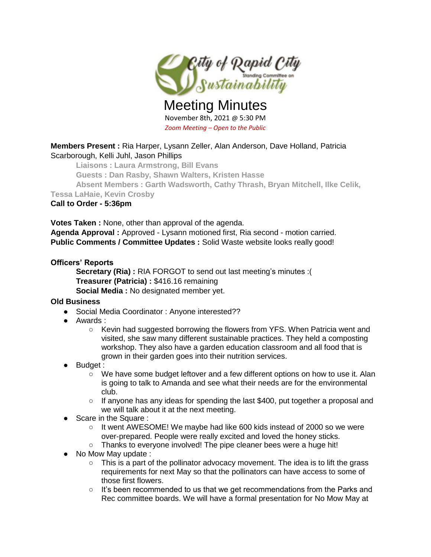

Meeting Minutes November 8th, 2021 @ 5:30 PM *Zoom Meeting – Open to the Public*

# **Members Present :** Ria Harper, Lysann Zeller, Alan Anderson, Dave Holland, Patricia Scarborough, Kelli Juhl, Jason Phillips

**Liaisons : Laura Armstrong, Bill Evans**

**Guests : Dan Rasby, Shawn Walters, Kristen Hasse**

**Absent Members : Garth Wadsworth, Cathy Thrash, Bryan Mitchell, Ilke Celik,** 

**Tessa LaHaie, Kevin Crosby**

## **Call to Order - 5:36pm**

**Votes Taken :** None, other than approval of the agenda. **Agenda Approval :** Approved - Lysann motioned first, Ria second - motion carried. **Public Comments / Committee Updates :** Solid Waste website looks really good!

## **Officers' Reports**

**Secretary (Ria) :** RIA FORGOT to send out last meeting's minutes :( **Treasurer (Patricia) :** \$416.16 remaining

**Social Media :** No designated member yet.

### **Old Business**

- Social Media Coordinator: Anyone interested??
- Awards :
	- Kevin had suggested borrowing the flowers from YFS. When Patricia went and visited, she saw many different sustainable practices. They held a composting workshop. They also have a garden education classroom and all food that is grown in their garden goes into their nutrition services.
- **Budget :** 
	- We have some budget leftover and a few different options on how to use it. Alan is going to talk to Amanda and see what their needs are for the environmental club.
	- $\circ$  If anyone has any ideas for spending the last \$400, put together a proposal and we will talk about it at the next meeting.
- Scare in the Square :
	- $\circ$  It went AWESOME! We maybe had like 600 kids instead of 2000 so we were over-prepared. People were really excited and loved the honey sticks.
	- Thanks to everyone involved! The pipe cleaner bees were a huge hit!
- No Mow May update :
	- This is a part of the pollinator advocacy movement. The idea is to lift the grass requirements for next May so that the pollinators can have access to some of those first flowers.
	- It's been recommended to us that we get recommendations from the Parks and Rec committee boards. We will have a formal presentation for No Mow May at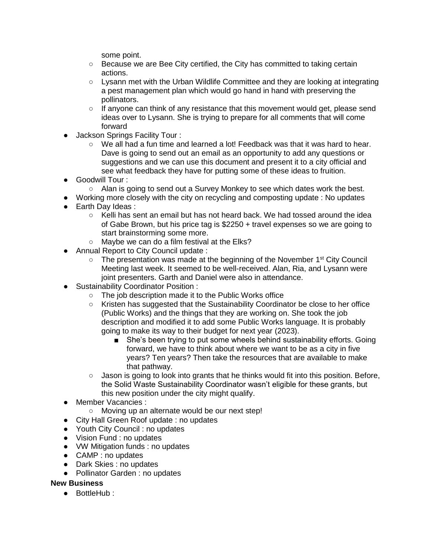some point.

- Because we are Bee City certified, the City has committed to taking certain actions.
- Lysann met with the Urban Wildlife Committee and they are looking at integrating a pest management plan which would go hand in hand with preserving the pollinators.
- If anyone can think of any resistance that this movement would get, please send ideas over to Lysann. She is trying to prepare for all comments that will come forward
- **Jackson Springs Facility Tour:** 
	- We all had a fun time and learned a lot! Feedback was that it was hard to hear. Dave is going to send out an email as an opportunity to add any questions or suggestions and we can use this document and present it to a city official and see what feedback they have for putting some of these ideas to fruition.
- Goodwill Tour :
	- Alan is going to send out a Survey Monkey to see which dates work the best.
- Working more closely with the city on recycling and composting update : No updates
- Earth Dav Ideas :
	- Kelli has sent an email but has not heard back. We had tossed around the idea of Gabe Brown, but his price tag is \$2250 + travel expenses so we are going to start brainstorming some more.
	- Maybe we can do a film festival at the Elks?
- Annual Report to City Council update :
	- $\circ$  The presentation was made at the beginning of the November 1<sup>st</sup> City Council Meeting last week. It seemed to be well-received. Alan, Ria, and Lysann were joint presenters. Garth and Daniel were also in attendance.
- Sustainability Coordinator Position :
	- The job description made it to the Public Works office
	- Kristen has suggested that the Sustainability Coordinator be close to her office (Public Works) and the things that they are working on. She took the job description and modified it to add some Public Works language. It is probably going to make its way to their budget for next year (2023).
		- She's been trying to put some wheels behind sustainability efforts. Going forward, we have to think about where we want to be as a city in five years? Ten years? Then take the resources that are available to make that pathway.
	- $\circ$  Jason is going to look into grants that he thinks would fit into this position. Before, the Solid Waste Sustainability Coordinator wasn't eligible for these grants, but this new position under the city might qualify.
- Member Vacancies :
	- Moving up an alternate would be our next step!
- City Hall Green Roof update : no updates
- Youth City Council : no updates
- Vision Fund : no updates
- WW Mitigation funds : no updates
- CAMP : no updates
- Dark Skies : no updates
- Pollinator Garden : no updates

### **New Business**

● BottleHub ·